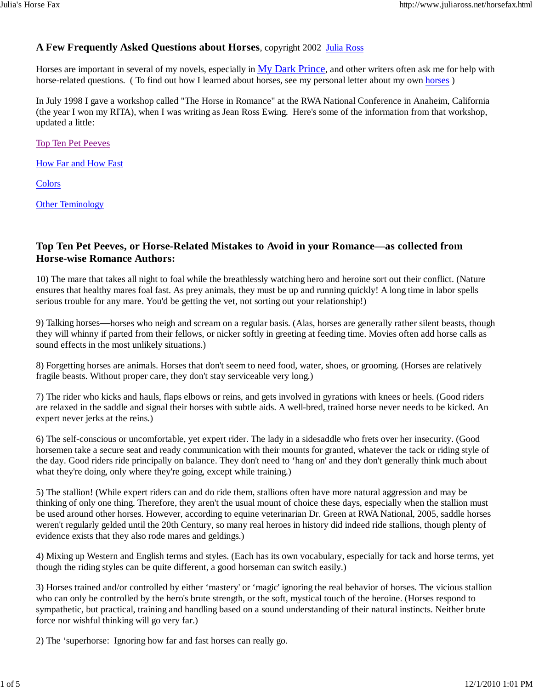# **A Few Frequently Asked Questions about Horses**, copyright 2002 Julia Ross

Horses are important in several of my novels, especially in My Dark Prince, and other writers often ask me for help with horse-related questions. (To find out how I learned about horses, see my personal letter about my own horses)

In July 1998 I gave a workshop called "The Horse in Romance" at the RWA National Conference in Anaheim, California (the year I won my RITA), when I was writing as Jean Ross Ewing. Here's some of the information from that workshop, updated a little:

Top Ten Pet Peeves

How Far and How Fast

**Colors** 

**Other Teminology** 

# **Top Ten Pet Peeves, or Horse-Related Mistakes to Avoid in your Romance—as collected from Horse-wise Romance Authors:**

10) The mare that takes all night to foal while the breathlessly watching hero and heroine sort out their conflict. (Nature ensures that healthy mares foal fast. As prey animals, they must be up and running quickly! A long time in labor spells serious trouble for any mare. You'd be getting the vet, not sorting out your relationship!)

9) Talking horses**—**horses who neigh and scream on a regular basis. (Alas, horses are generally rather silent beasts, though they will whinny if parted from their fellows, or nicker softly in greeting at feeding time. Movies often add horse calls as sound effects in the most unlikely situations.)

8) Forgetting horses are animals. Horses that don't seem to need food, water, shoes, or grooming. (Horses are relatively fragile beasts. Without proper care, they don't stay serviceable very long.)

7) The rider who kicks and hauls, flaps elbows or reins, and gets involved in gyrations with knees or heels. (Good riders are relaxed in the saddle and signal their horses with subtle aids. A well-bred, trained horse never needs to be kicked. An expert never jerks at the reins.)

6) The self-conscious or uncomfortable, yet expert rider. The lady in a sidesaddle who frets over her insecurity. (Good horsemen take a secure seat and ready communication with their mounts for granted, whatever the tack or riding style of the day. Good riders ride principally on balance. They don't need to 'hang on' and they don't generally think much about what they're doing, only where they're going, except while training.)

5) The stallion! (While expert riders can and do ride them, stallions often have more natural aggression and may be thinking of only one thing. Therefore, they aren't the usual mount of choice these days, especially when the stallion must be used around other horses. However, according to equine veterinarian Dr. Green at RWA National, 2005, saddle horses weren't regularly gelded until the 20th Century, so many real heroes in history did indeed ride stallions, though plenty of evidence exists that they also rode mares and geldings.)

4) Mixing up Western and English terms and styles. (Each has its own vocabulary, especially for tack and horse terms, yet though the riding styles can be quite different, a good horseman can switch easily.)

3) Horses trained and/or controlled by either 'mastery' or 'magic' ignoring the real behavior of horses. The vicious stallion who can only be controlled by the hero's brute strength, or the soft, mystical touch of the heroine. (Horses respond to sympathetic, but practical, training and handling based on a sound understanding of their natural instincts. Neither brute force nor wishful thinking will go very far.)

2) The 'superhorse: Ignoring how far and fast horses can really go.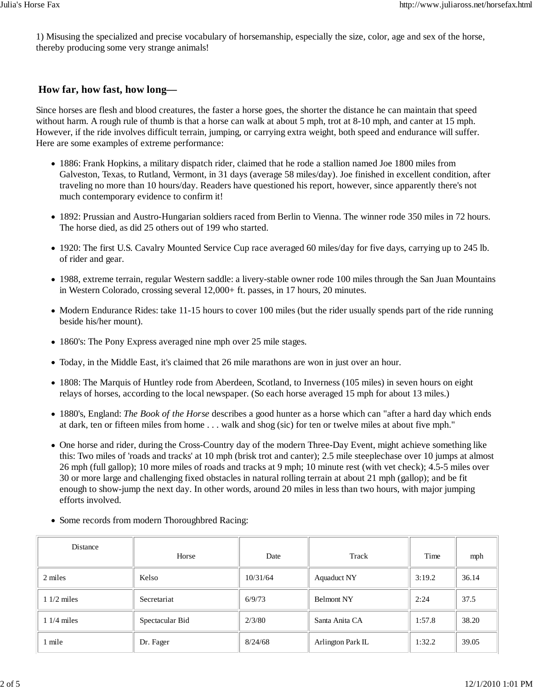1) Misusing the specialized and precise vocabulary of horsemanship, especially the size, color, age and sex of the horse, thereby producing some very strange animals!

# **How far, how fast, how long—**

Since horses are flesh and blood creatures, the faster a horse goes, the shorter the distance he can maintain that speed without harm. A rough rule of thumb is that a horse can walk at about 5 mph, trot at 8-10 mph, and canter at 15 mph. However, if the ride involves difficult terrain, jumping, or carrying extra weight, both speed and endurance will suffer. Here are some examples of extreme performance:

- 1886: Frank Hopkins, a military dispatch rider, claimed that he rode a stallion named Joe 1800 miles from Galveston, Texas, to Rutland, Vermont, in 31 days (average 58 miles/day). Joe finished in excellent condition, after traveling no more than 10 hours/day. Readers have questioned his report, however, since apparently there's not much contemporary evidence to confirm it!
- 1892: Prussian and Austro-Hungarian soldiers raced from Berlin to Vienna. The winner rode 350 miles in 72 hours. The horse died, as did 25 others out of 199 who started.
- 1920: The first U.S. Cavalry Mounted Service Cup race averaged 60 miles/day for five days, carrying up to 245 lb. of rider and gear.
- 1988, extreme terrain, regular Western saddle: a livery-stable owner rode 100 miles through the San Juan Mountains in Western Colorado, crossing several 12,000+ ft. passes, in 17 hours, 20 minutes.
- Modern Endurance Rides: take 11-15 hours to cover 100 miles (but the rider usually spends part of the ride running beside his/her mount).
- 1860's: The Pony Express averaged nine mph over 25 mile stages.
- Today, in the Middle East, it's claimed that 26 mile marathons are won in just over an hour.
- 1808: The Marquis of Huntley rode from Aberdeen, Scotland, to Inverness (105 miles) in seven hours on eight relays of horses, according to the local newspaper. (So each horse averaged 15 mph for about 13 miles.)
- 1880's, England: *The Book of the Horse* describes a good hunter as a horse which can "after a hard day which ends at dark, ten or fifteen miles from home . . . walk and shog (sic) for ten or twelve miles at about five mph."
- One horse and rider, during the Cross-Country day of the modern Three-Day Event, might achieve something like this: Two miles of 'roads and tracks' at 10 mph (brisk trot and canter); 2.5 mile steeplechase over 10 jumps at almost 26 mph (full gallop); 10 more miles of roads and tracks at 9 mph; 10 minute rest (with vet check); 4.5-5 miles over 30 or more large and challenging fixed obstacles in natural rolling terrain at about 21 mph (gallop); and be fit enough to show-jump the next day. In other words, around 20 miles in less than two hours, with major jumping efforts involved.

| Distance     | Horse           | Date     | Track              | Time   | mph   |
|--------------|-----------------|----------|--------------------|--------|-------|
| 2 miles      | Kelso           | 10/31/64 | <b>Aquaduct NY</b> | 3:19.2 | 36.14 |
| $11/2$ miles | Secretariat     | 6/9/73   | <b>Belmont NY</b>  | 2:24   | 37.5  |
| $11/4$ miles | Spectacular Bid | 2/3/80   | Santa Anita CA     | 1:57.8 | 38.20 |
| l mile       | Dr. Fager       | 8/24/68  | Arlington Park IL  | 1:32.2 | 39.05 |

Some records from modern Thoroughbred Racing: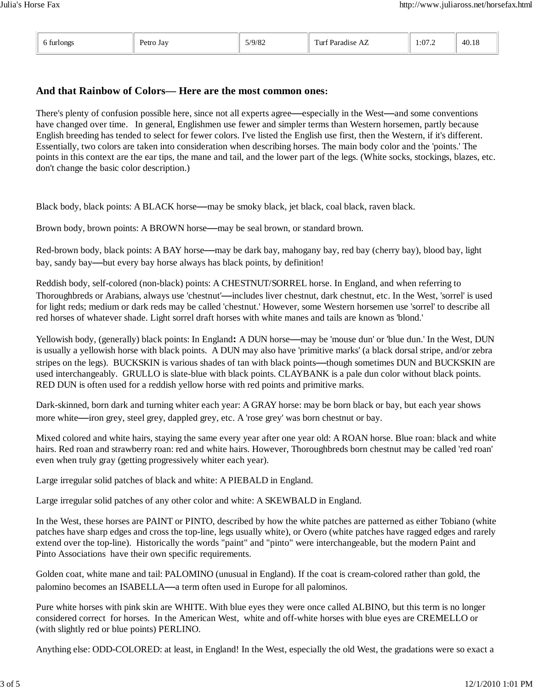# **And that Rainbow of Colors— Here are the most common ones:**

There's plenty of confusion possible here, since not all experts agree**—**especially in the West**—**and some conventions have changed over time. In general, Englishmen use fewer and simpler terms than Western horsemen, partly because English breeding has tended to select for fewer colors. I've listed the English use first, then the Western, if it's different. Essentially, two colors are taken into consideration when describing horses. The main body color and the 'points.' The points in this context are the ear tips, the mane and tail, and the lower part of the legs. (White socks, stockings, blazes, etc. don't change the basic color description.)

Black body, black points: A BLACK horse**—**may be smoky black, jet black, coal black, raven black.

Brown body, brown points: A BROWN horse**—**may be seal brown, or standard brown.

Red-brown body, black points: A BAY horse**—**may be dark bay, mahogany bay, red bay (cherry bay), blood bay, light bay, sandy bay**—**but every bay horse always has black points, by definition!

Reddish body, self-colored (non-black) points: A CHESTNUT/SORREL horse. In England, and when referring to Thoroughbreds or Arabians, always use 'chestnut'**—**includes liver chestnut, dark chestnut, etc. In the West, 'sorrel' is used for light reds; medium or dark reds may be called 'chestnut.' However, some Western horsemen use 'sorrel' to describe all red horses of whatever shade. Light sorrel draft horses with white manes and tails are known as 'blond.'

Yellowish body, (generally) black points: In England**:** A DUN horse**—**may be 'mouse dun' or 'blue dun.' In the West, DUN is usually a yellowish horse with black points. A DUN may also have 'primitive marks' (a black dorsal stripe, and/or zebra stripes on the legs). BUCKSKIN is various shades of tan with black points**—**though sometimes DUN and BUCKSKIN are used interchangeably. GRULLO is slate-blue with black points. CLAYBANK is a pale dun color without black points. RED DUN is often used for a reddish yellow horse with red points and primitive marks.

Dark-skinned, born dark and turning whiter each year: A GRAY horse: may be born black or bay, but each year shows more white**—**iron grey, steel grey, dappled grey, etc. A 'rose grey' was born chestnut or bay.

Mixed colored and white hairs, staying the same every year after one year old: A ROAN horse. Blue roan: black and white hairs. Red roan and strawberry roan: red and white hairs. However, Thoroughbreds born chestnut may be called 'red roan' even when truly gray (getting progressively whiter each year).

Large irregular solid patches of black and white: A PIEBALD in England.

Large irregular solid patches of any other color and white: A SKEWBALD in England.

In the West, these horses are PAINT or PINTO, described by how the white patches are patterned as either Tobiano (white patches have sharp edges and cross the top-line, legs usually white), or Overo (white patches have ragged edges and rarely extend over the top-line). Historically the words "paint" and "pinto" were interchangeable, but the modern Paint and Pinto Associations have their own specific requirements.

Golden coat, white mane and tail: PALOMINO (unusual in England). If the coat is cream-colored rather than gold, the palomino becomes an ISABELLA**—**a term often used in Europe for all palominos.

Pure white horses with pink skin are WHITE. With blue eyes they were once called ALBINO, but this term is no longer considered correct for horses. In the American West, white and off-white horses with blue eyes are CREMELLO or (with slightly red or blue points) PERLINO.

Anything else: ODD-COLORED: at least, in England! In the West, especially the old West, the gradations were so exact a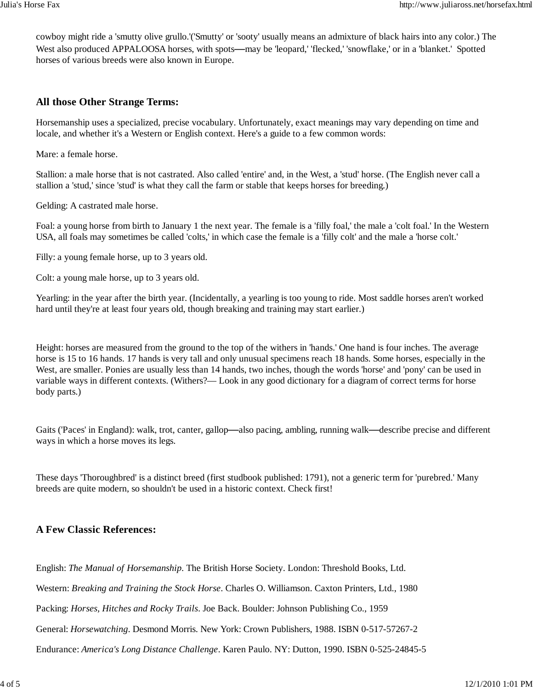cowboy might ride a 'smutty olive grullo.'('Smutty' or 'sooty' usually means an admixture of black hairs into any color.) The West also produced APPALOOSA horses, with spots**—**may be 'leopard,' 'flecked,' 'snowflake,' or in a 'blanket.' Spotted horses of various breeds were also known in Europe.

### **All those Other Strange Terms:**

Horsemanship uses a specialized, precise vocabulary. Unfortunately, exact meanings may vary depending on time and locale, and whether it's a Western or English context. Here's a guide to a few common words:

Mare: a female horse.

Stallion: a male horse that is not castrated. Also called 'entire' and, in the West, a 'stud' horse. (The English never call a stallion a 'stud,' since 'stud' is what they call the farm or stable that keeps horses for breeding.)

Gelding: A castrated male horse.

Foal: a young horse from birth to January 1 the next year. The female is a 'filly foal,' the male a 'colt foal.' In the Western USA, all foals may sometimes be called 'colts,' in which case the female is a 'filly colt' and the male a 'horse colt.'

Filly: a young female horse, up to 3 years old.

Colt: a young male horse, up to 3 years old.

Yearling: in the year after the birth year. (Incidentally, a yearling is too young to ride. Most saddle horses aren't worked hard until they're at least four years old, though breaking and training may start earlier.)

Height: horses are measured from the ground to the top of the withers in 'hands.' One hand is four inches. The average horse is 15 to 16 hands. 17 hands is very tall and only unusual specimens reach 18 hands. Some horses, especially in the West, are smaller. Ponies are usually less than 14 hands, two inches, though the words 'horse' and 'pony' can be used in variable ways in different contexts. (Withers?— Look in any good dictionary for a diagram of correct terms for horse body parts.)

Gaits ('Paces' in England): walk, trot, canter, gallop**—**also pacing, ambling, running walk**—**describe precise and different ways in which a horse moves its legs.

These days 'Thoroughbred' is a distinct breed (first studbook published: 1791), not a generic term for 'purebred.' Many breeds are quite modern, so shouldn't be used in a historic context. Check first!

### **A Few Classic References:**

English: *The Manual of Horsemanship*. The British Horse Society. London: Threshold Books, Ltd.

Western: *Breaking and Training the Stock Horse*. Charles O. Williamson. Caxton Printers, Ltd., 1980

Packing: *Horses, Hitches and Rocky Trails*. Joe Back. Boulder: Johnson Publishing Co., 1959

General: *Horsewatching*. Desmond Morris. New York: Crown Publishers, 1988. ISBN 0-517-57267-2

Endurance: *America's Long Distance Challenge*. Karen Paulo. NY: Dutton, 1990. ISBN 0-525-24845-5